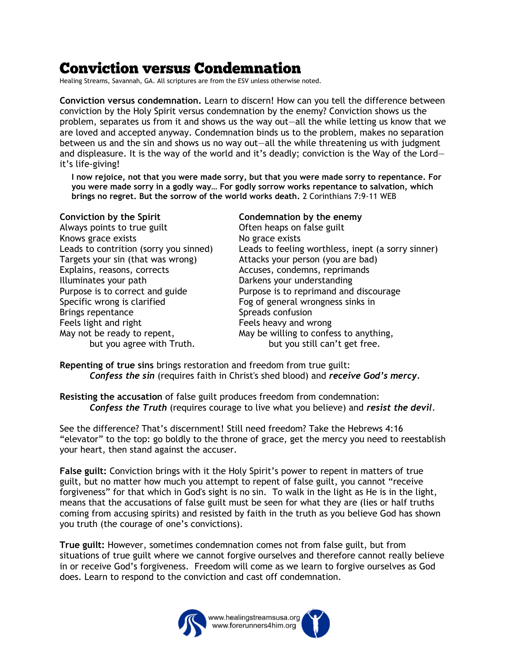# **Conviction versus Condemnation**

Healing Streams, Savannah, GA. All scriptures are from the ESV unless otherwise noted.

**Conviction versus condemnation.** Learn to discern! How can you tell the difference between conviction by the Holy Spirit versus condemnation by the enemy? Conviction shows us the problem, separates us from it and shows us the way out—all the while letting us know that we are loved and accepted anyway. Condemnation binds us to the problem, makes no separation between us and the sin and shows us no way out—all the while threatening us with judgment and displeasure. It is the way of the world and it's deadly; conviction is the Way of the Lord it's life-giving!

**I now rejoice, not that you were made sorry, but that you were made sorry to repentance. For you were made sorry in a godly way… For godly sorrow works repentance to salvation, which brings no regret. But the sorrow of the world works death.** 2 Corinthians 7:9-11 WEB

Always points to true guilt **Often heaps on false guilt** Knows grace exists No grace exists Targets your sin (that was wrong) Attacks your person (you are bad) Explains, reasons, corrects Accuses, condemns, reprimands Illuminates your path Darkens your understanding Specific wrong is clarified Fog of general wrongness sinks in Brings repentance Spreads confusion Feels light and right Feels heavy and wrong

### **Conviction by the Spirit Condemnation by the enemy**

Leads to contrition (sorry you sinned) Leads to feeling worthless, inept (a sorry sinner) Purpose is to correct and guide Purpose is to reprimand and discourage May not be ready to repent, May be willing to confess to anything, but you agree with Truth. but you still can't get free.

**Repenting of true sins** brings restoration and freedom from true guilt: *Confess the sin* (requires faith in Christ's shed blood) and *receive God's mercy.*

**Resisting the accusation** of false guilt produces freedom from condemnation: *Confess the Truth* (requires courage to live what you believe) and *resist the devil*.

See the difference? That's discernment! Still need freedom? Take the Hebrews 4:16 "elevator" to the top: go boldly to the throne of grace, get the mercy you need to reestablish your heart, then stand against the accuser.

**False guilt:** Conviction brings with it the Holy Spirit's power to repent in matters of true guilt, but no matter how much you attempt to repent of false guilt, you cannot "receive forgiveness" for that which in God's sight is no sin. To walk in the light as He is in the light, means that the accusations of false guilt must be seen for what they are (lies or half truths coming from accusing spirits) and resisted by faith in the truth as you believe God has shown you truth (the courage of one's convictions).

**True guilt:** However, sometimes condemnation comes not from false guilt, but from situations of true guilt where we cannot forgive ourselves and therefore cannot really believe in or receive God's forgiveness. Freedom will come as we learn to forgive ourselves as God does. Learn to respond to the conviction and cast off condemnation.